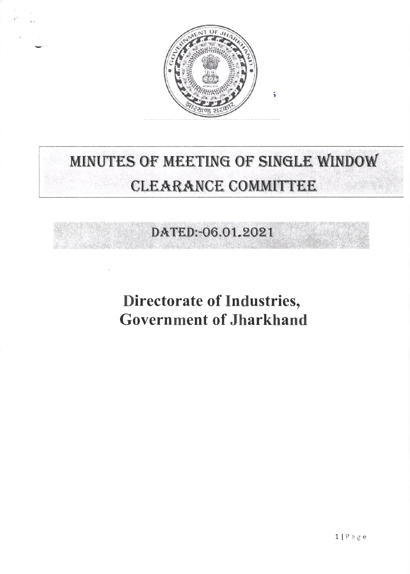

# MINUTES OF MEETING OF SINGLE WINDOW **CLEARANCE COMMITTEE**

## DATED:-06.01.2021

# **Directorate of Industries, Government of Jharkhand**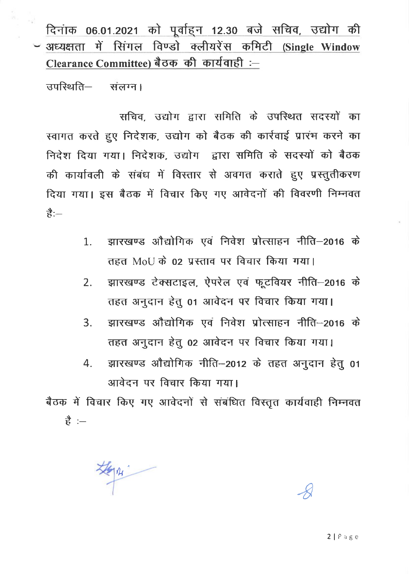दिनांक 06.01.2021 को पूर्वाहन 12.30 बजे सचिव, उद्योग की - अध्यक्षता में सिंगल विण्डो क्लीयरेंस कमिटी (Single Window Clearance Committee) बैठक की कार्यवाही :-

उपस्थिति-संलग्न।

सचिव, उद्योग द्वारा समिति के उपस्थित सदस्यों का स्वागत करते हुए निदेशक, उद्योग को बैठक की कार्रवाई प्रारंभ करने का निदेश दिया गया। निदेशक, उद्योग द्वारा समिति के सदस्यों को बैठक की कार्यावली के संबंध में विस्तार से अवगत कराते हुए प्रस्तुतीकरण दिया गया। इस बैठक में विचार किए गए आवेदनों की विवरणी निम्नवत  $\frac{4}{5}$ 

- झारखण्ड औद्योगिक एवं निवेश प्रोत्साहन नीति–2016 के 1. तहत MoU के 02 प्रस्ताव पर विचार किया गया।
- झारखण्ड टेक्सटाइल, ऐपरेल एवं फूटवियर नीति-2016 के  $2.$ तहत अनुदान हेतु 01 आवेदन पर विचार किया गया।
- झारखण्ड औद्योगिक एवं निवेश प्रोत्साहन नीति-2016 के  $3.$ तहत अनुदान हेतु 02 आवेदन पर विचार किया गया।
- झारखण्ड औद्योगिक नीति-2012 के तहत अनुदान हेतु 01  $\overline{4}$ . आवेदन पर विचार किया गया।

बैठक में विचार किए गए आवेदनों से संबंधित विस्तृत कार्यवाही निम्नवत  $\Rightarrow$   $\frac{4}{5}$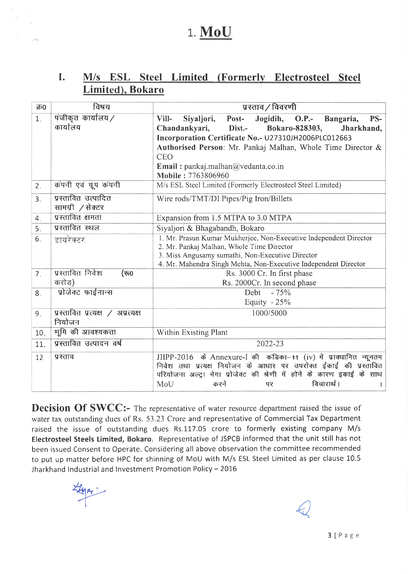## 1. MoU

#### I. M/s ESL Steel Limited (Formerly Electrosteel Steel Limited), Bokaro

| क्र0           | विषय                                        | प्रस्ताव / विवरणी                                                                                                                                                                                                                                  |  |  |  |  |  |  |
|----------------|---------------------------------------------|----------------------------------------------------------------------------------------------------------------------------------------------------------------------------------------------------------------------------------------------------|--|--|--|--|--|--|
| 1.             | पंजीकृत कार्यालय/                           | Vill-<br>Siyaljori, Post-<br>Jogidih, O.P.-<br>PS-<br>Bangaria,                                                                                                                                                                                    |  |  |  |  |  |  |
|                | कार्यालय                                    | Chandankyari,<br>Dist.-<br>Bokaro-828303,<br>Jharkhand,                                                                                                                                                                                            |  |  |  |  |  |  |
|                |                                             | Incorporation Certificate No.- U27310JH2006PLC012663                                                                                                                                                                                               |  |  |  |  |  |  |
|                |                                             | Authorised Person: Mr. Pankaj Malhan, Whole Time Director &                                                                                                                                                                                        |  |  |  |  |  |  |
|                |                                             | <b>CEO</b>                                                                                                                                                                                                                                         |  |  |  |  |  |  |
|                |                                             | Email: pankaj.malhan@vedanta.co.in<br>Mobile: 7763806960                                                                                                                                                                                           |  |  |  |  |  |  |
| 2.             | कंपनी एवं ग्रूप कंपनी                       | M/s ESL Steel Limited (Formerly Electrosteel Steel Limited)                                                                                                                                                                                        |  |  |  |  |  |  |
| 3.             | प्रस्तावित उत्पादित<br>सामग्री /सेक्टर      | Wire rods/TMT/DI Pipes/Pig Iron/Billets                                                                                                                                                                                                            |  |  |  |  |  |  |
| 4.             | प्रस्तावित क्षमता                           | Expansion from 1.5 MTPA to 3.0 MTPA                                                                                                                                                                                                                |  |  |  |  |  |  |
| 5.             | प्रस्तावित स्थल                             | Siyaljori & Bhagabandh, Bokaro                                                                                                                                                                                                                     |  |  |  |  |  |  |
| 6.             | डायरेक्टर                                   | 1. Mr. Prasun Kumar Mukherjee, Non-Executive Independent Director                                                                                                                                                                                  |  |  |  |  |  |  |
|                |                                             | 2. Mr. Pankaj Malhan, Whole Time Director                                                                                                                                                                                                          |  |  |  |  |  |  |
|                |                                             | 3. Miss Angusamy sumathi, Non-Executive Director<br>4. Mr. Mahendra Singh Mehta, Non-Executive Independent Director                                                                                                                                |  |  |  |  |  |  |
| 7 <sub>1</sub> | प्रस्तावित निवेश<br>(रू0                    | Rs. 3000 Cr. In first phase                                                                                                                                                                                                                        |  |  |  |  |  |  |
|                | करोड)                                       | Rs. 2000Cr. In second phase                                                                                                                                                                                                                        |  |  |  |  |  |  |
| 8.             | प्रोजेक्ट फाईनान्स                          | Debt - 75%                                                                                                                                                                                                                                         |  |  |  |  |  |  |
|                |                                             | Equity $-25%$                                                                                                                                                                                                                                      |  |  |  |  |  |  |
| 9.             | प्रस्तावित प्रत्यक्ष / अप्रत्यक्ष<br>नियोजन | 1000/5000                                                                                                                                                                                                                                          |  |  |  |  |  |  |
| 10.            | भूमि की आवश्यकता                            | Within Existing Plant                                                                                                                                                                                                                              |  |  |  |  |  |  |
| 11.            | प्रस्तावित उत्पादन वर्ष                     | 2022-23                                                                                                                                                                                                                                            |  |  |  |  |  |  |
| 12             | प्रस्ताव                                    | JIIPP-2016 के Annexure-I की कंडिका-11 (iv) में प्रावधानित न्यूनतम<br>निवेश तथा प्रत्यक्ष नियोजन के आधार पर उपरोक्त ईकाई की प्रस्तावित<br>परियोजना अल्ट्रा मेगा प्रोजेक्ट की श्रेणी में होने के कारण इकाई के साथ<br>विचारार्थ।<br>MoU<br>करने<br>पर |  |  |  |  |  |  |

Decision Of SWCC:- The representative of water resource department raised the issue of water tax outstanding dues of Rs. 53.23 Crore and representative of Commercial Tax Department raised the issue of outstanding dues Rs.117.05 crore to formerly existing company M/s Electrosteel Steels Limited, Bokaro. Representative of JSPCB informed that the unit still has not been issued Consent to Operate. Considering all above observation the committee recommended to put up matter before HPC for shinning of MoU with M/s ESL Steel Limited as per clause 10.5 Jharkhand lndustrial and lnvestment Promotion Policy -2016

tyn:

 $\epsilon$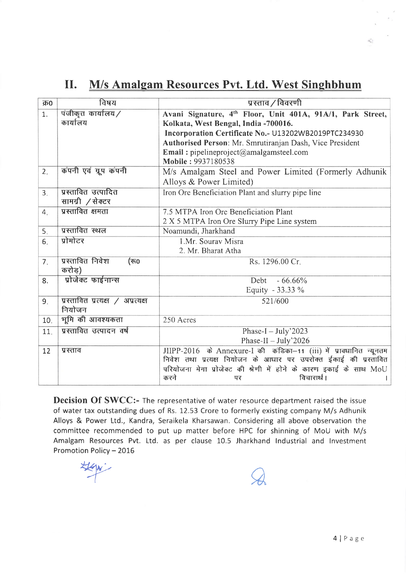### II. M/s Amalgam Resources Pvt. Ltd. West Singhbhum

| क्र0 | विषय                                        | प्रस्ताव / विवरणी                                                                                                                                                                                                                                                                              |
|------|---------------------------------------------|------------------------------------------------------------------------------------------------------------------------------------------------------------------------------------------------------------------------------------------------------------------------------------------------|
| 1.   | पंजीकृत कार्यालय/<br>कार्यालय               | Avani Signature, 4th Floor, Unit 401A, 91A/1, Park Street,<br>Kolkata, West Bengal, India -700016.<br>Incorporation Certificate No.- U13202WB2019PTC234930<br>Authorised Person: Mr. Smrutiranjan Dash, Vice President<br><b>Email:</b> pipelineproject@amalgamsteel.com<br>Mobile: 9937180538 |
| 2.   | कंपनी एवं ग्रूप कंपनी                       | M/s Amalgam Steel and Power Limited (Formerly Adhunik<br>Alloys & Power Limited)                                                                                                                                                                                                               |
| 3.   | प्रस्तावित उत्पादित<br>सामग्री /सेक्टर      | Iron Ore Beneficiation Plant and slurry pipe line                                                                                                                                                                                                                                              |
| 4.   | प्रस्तावित क्षमता                           | 7.5 MTPA Iron Ore Beneficiation Plant<br>2 X 5 MTPA Iron Ore Slurry Pipe Line system                                                                                                                                                                                                           |
| 5.   | प्रस्तावित स्थल                             | Noamundi, Jharkhand                                                                                                                                                                                                                                                                            |
| 6.   | प्रोमोटर                                    | 1.Mr. Sourav Misra<br>2. Mr. Bharat Atha                                                                                                                                                                                                                                                       |
| 7.   | प्रस्तावित निवेश<br>(रू0<br>करोड)           | Rs. 1296.00 Cr.                                                                                                                                                                                                                                                                                |
| 8.   | प्रोजेक्ट फाईनान्स                          | Debt<br>$-66.66\%$<br>Equity - 33.33 %                                                                                                                                                                                                                                                         |
| 9.   | प्रस्तावित प्रत्यक्ष / अप्रत्यक्ष<br>नियोजन | 521/600                                                                                                                                                                                                                                                                                        |
| 10.  | भूमि की आवश्यकता                            | 250 Acres                                                                                                                                                                                                                                                                                      |
| 11.  | प्रस्तावित उत्पादन वर्ष                     | Phase-I $-$ July'2023<br>Phase-II $-$ July'2026                                                                                                                                                                                                                                                |
| 12   | प्रस्ताव                                    | JIIPP-2016 के Annexure-I की कंडिका-11 (iii) में प्रावधानित न्यूनतम<br>निवेश तथा प्रत्यक्ष नियोजन के आधार पर उपरोक्त ईकाई की प्रस्तावित<br>परियोजना मेगा प्रोजेक्ट की श्रेणी में होने के कारण इकाई के साथ MoU<br>विचारार्थ ।<br>करने<br>पर                                                      |

Decision Of SWCC:- The representative of water resource department raised the issue of water tax outstanding dues of Rs. 12.53 Crore to formerly existing company M/s Adhunik Alloys & Power Ltd., Kandra, Seraikela Kharsawan. Considering all above observation the committee recommended to put up matter before HPC for shinning of MoU with M/s Amalgam Resources Pvt. Ltd. as per clause 10.5 Jharkhand lndustrial and lnvestment Promotion Policy - 2016

**Hegw** 

 $\mathcal{A}$ 

 $\tilde{\epsilon}$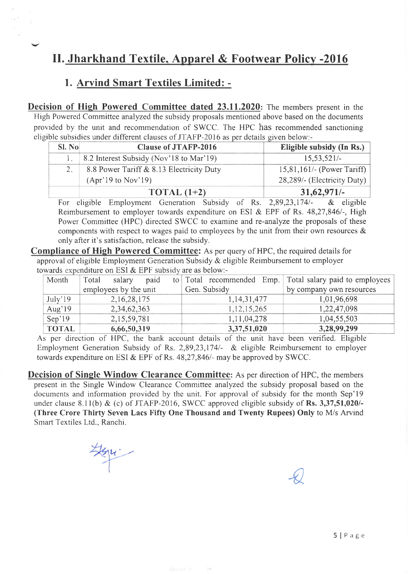### II. Jharkhand Textile, Apparel & Footwear Policy -2016

#### 1. Arvind Smart Textiles Limited: -

Decision of High Powered Committee dated 23.11.2020: The members present in the High Powered Committee analyzed the subsidy proposals mentioned above based on the documents provided by the unit and recommendation of SWCC. The HPC has recommended sanctioning eligible subsidies under different clauses of JTAFP-2016 as per details given below:-

| SI. No | <b>Clause of JTAFP-2016</b>              | Eligible subsidy (In Rs.)     |
|--------|------------------------------------------|-------------------------------|
|        | 8.2 Interest Subsidy (Nov'18 to Mar'19)  | $15,53,521/-$                 |
| $2 -$  | 8.8 Power Tariff & 8.13 Electricity Duty | $15,81,161/$ - (Power Tariff) |
|        | $(Apr'19$ to Nov'19)                     | 28,289/- (Electricity Duty)   |
|        | TOTAL $(1+2)$                            | $31,62,971/-$                 |

For eligible Employment Generation Subsidy of Rs.  $2,89,23,174/$ - & eligible Reimbursement to employer towards expenditure on ESI  $&$  EPF of Rs. 48,27,846/-, High Power Committee (HPC) directed SWCC to examine and re-analyze the proposals of these components with respect to wages paid to employees by the unit from their own resources & only after it's satisfaction, release the subsidy.

Compliance of High Powered Committee: As per query of HPC, the required details for approval of eligible Employment Generation Subsidy & eligible Reimbursement to employer towards expenditure on ESI  $&$  EPF subsidy are as below:-

| Month        | Total | salary                | paid |  |                | to Total recommended Emp. Total salary paid to employees |
|--------------|-------|-----------------------|------|--|----------------|----------------------------------------------------------|
|              |       | employees by the unit |      |  | Gen. Subsidy   | by company own resources                                 |
| July'19      |       | 2, 16, 28, 175        |      |  | 1, 14, 31, 477 | 1,01,96,698                                              |
| Aug' $19$    |       | 2,34,62,363           |      |  | 1, 12, 15, 265 | 1,22,47,098                                              |
| Sep'19       |       | 2,15,59,781           |      |  | 1, 11, 04, 278 | 1,04,55,503                                              |
| <b>TOTAL</b> |       | 6,66,50,319           |      |  | 3,37,51,020    | 3,28,99,299                                              |

As per direction of HPC, the bank account details of the unit have been verified. Eligible Employment Generation Subsidy of Rs. 2,89,23,1741- & eligible Reimbursement to employer towards expenditure on ESI & EPF of Rs.  $48,27,846/$ - may be approved by SWCC.

Decision of Single Window Clearance Committee: As per direction of HPC, the members present in the Single Window Clearance Committee analyzed the subsidy proposal based on the documents and information provided by the unit. For approval of subsidy for the month Sep'19 under clause 8.11(b) & (c) of JTAFP-2016, SWCC approved eligible subsidy of Rs. 3,37,51,020/-(Three Crore Thirty Seven Lacs Fifty One Thousand and Twenty Rupees) Only to M/s Arvind Smart Textiles Ltd., Ranchi.

**Sel** 

 $\frac{1}{\sqrt{2}}$ 

 $\mathcal{L}$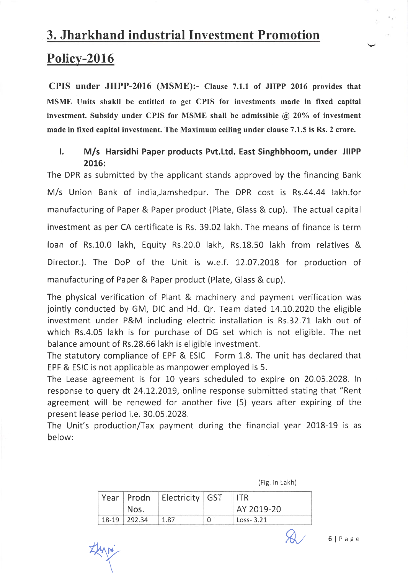# 3. Jharkhand industrial Investment Promotion Policv-2016

CPIS under JIIPP-2016 (MSME):- Clause 7.1.1 of JIIPP 2016 provides that MSME Units shakll be entitled to get CPIS for investments made in fixed capital investment. Subsidy under CPIS for MSME shall be admissible  $\hat{a}$  20% of investment made in fixed capital investment. The Maximum ceiling under clause 7.1.5 is Rs. 2 crore.

#### l. M/s Harsidhi Paper products Pvt.Ltd. East Singhbhoom, under JIIPP 2016:

The DPR as submitted by the applicant stands approved by the financing Bank M/s Union Bank of india,Jamshedpur. The DPR cost is Rs.44.44 lakh.for manufacturing of Paper & Paper product (Plate, Glass & cup). The actual capital investment as per CA certificate is Rs. 39.02 lakh. The means of finance is term loan of Rs.10.0 lakh, Equity Rs.20.0 lakh, Rs.18.50 lakh from relatives & Director.). The DoP of the Unit is w.e.f. L2.07.2018 for production of manufacturing of Paper & Paper product (Plate, Glass & cup).

The physical verification of Plant & machinery and payment verification was jointly conducted by GM, DIC and Hd. Qr. Team dated 14.10.2020 the eligible investment under P&M including electric installation is Rs.32.71 lakh out of which Rs.4.05 lakh is for purchase of DG set which is not eligible. The net balance amount of Rs.28.66 lakh is eligible investment.

The statutory compliance of EPF & ESIC Form 1.8. The unit has declared that EPF & ESIC is not applicable as manpower employed is 5.

The Lease agreement is for 10 years scheduled to expire on 20.05.2028. ln response to query dt 24.12.2079, online response submitted stating that "Rent agreement will be renewed for another five (5) years after expiring of the present lease period i.e. 30.05.2028.

The Unit's production/Tax payment during the financial year 2018-19 is as below:

|  |  | (Fig. in Lakh) |
|--|--|----------------|
|--|--|----------------|

|                  | Year   Prodn   Electricity   GST | ITR.          |
|------------------|----------------------------------|---------------|
| Nos.             |                                  | AY 2019-20    |
| $18-19$   292.34 | 1.87                             | $Loss - 3.21$ |

 $f(x)$  6 | Page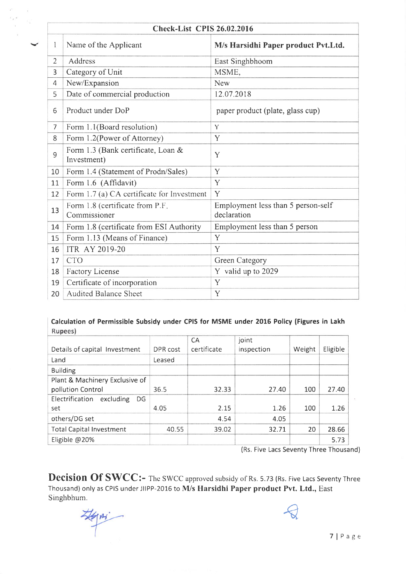|                | <b>Check-List CPIS 26.02.2016</b>                 |                                                   |  |  |  |  |  |
|----------------|---------------------------------------------------|---------------------------------------------------|--|--|--|--|--|
| $\mathbf{1}$   | Name of the Applicant                             | M/s Harsidhi Paper product Pvt.Ltd.               |  |  |  |  |  |
| $\overline{2}$ | Address                                           | East Singhbhoom                                   |  |  |  |  |  |
| 3              | Category of Unit                                  | MSME,                                             |  |  |  |  |  |
| $\overline{4}$ | New/Expansion                                     | New                                               |  |  |  |  |  |
| 5              | Date of commercial production                     | 12.07.2018                                        |  |  |  |  |  |
| 6              | Product under DoP                                 | paper product (plate, glass cup)                  |  |  |  |  |  |
| $\overline{7}$ | Form 1.1(Board resolution)                        | Y                                                 |  |  |  |  |  |
| 8              | Form 1.2(Power of Attorney)                       | Y                                                 |  |  |  |  |  |
| 9              | Form 1.3 (Bank certificate, Loan &<br>Investment) | Y                                                 |  |  |  |  |  |
| 10             | Form 1.4 (Statement of Prodn/Sales)               | Y                                                 |  |  |  |  |  |
| 11             | Form 1.6 (Affidavit)                              | Y                                                 |  |  |  |  |  |
| 12             | Form 1.7 (a) CA certificate for Investment        | Y                                                 |  |  |  |  |  |
| 13             | Form 1.8 (certificate from P.F.<br>Commissioner   | Employment less than 5 person-self<br>declaration |  |  |  |  |  |
| 14             | Form 1.8 (certificate from ESI Authority          | Employment less than 5 person                     |  |  |  |  |  |
| 15             | Form 1.13 (Means of Finance)                      | Y                                                 |  |  |  |  |  |
| 16             | <b>ITR AY 2019-20</b>                             | Y                                                 |  |  |  |  |  |
| 17             | <b>CTO</b>                                        | Green Category                                    |  |  |  |  |  |
| 18             | <b>Factory License</b>                            | Y valid up to 2029                                |  |  |  |  |  |
| 19             | Certificate of incorporation                      | Y                                                 |  |  |  |  |  |
| 20             | <b>Audited Balance Sheet</b>                      | Y                                                 |  |  |  |  |  |

#### Calculation of Permissible Subsidy under CPIS for MSME under 2015 Policy (Figures in Lakh Rupees)

|                                 |          | <b>CA</b>   | joint      |        |          |
|---------------------------------|----------|-------------|------------|--------|----------|
| Details of capital Investment   | DPR cost | certificate | inspection | Weight | Eligible |
| Land                            | Leased   |             |            |        |          |
| <b>Building</b>                 |          |             |            |        |          |
| Plant & Machinery Exclusive of  |          |             |            |        |          |
| pollution Control               | 36.5     | 32.33       | 27.40      | 100    | 27.40    |
| Electrification excluding<br>DG |          |             |            |        |          |
| set                             | 4.05     | 2.15        | 1.26       | 100    | 1.26     |
| others/DG set                   |          | 4.54        | 4.05       |        |          |
| <b>Total Capital Investment</b> | 40.55    | 39.02       | 32.71      | 20     | 28.66    |
| Eligible @20%                   |          |             |            |        | 5.73     |

(Rs. Five Lacs Seventy Three Thousand)

 $\bigotimes$ 

Decision Of SWCC:- The SWCC approved subsidy of Rs. 5.73 (Rs. Five Lacs Seventy Three Thousand) only as CPIS under JIIPP-2016 to M/s Harsidhi Paper product Pvt. Ltd., East Singhbhum.

TlPage